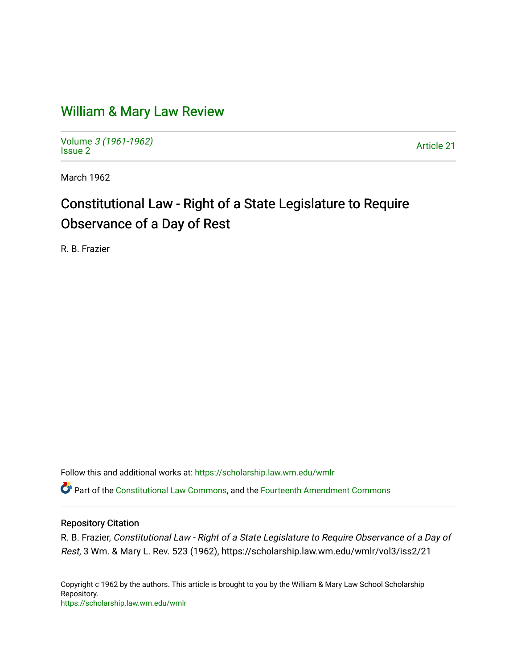## [William & Mary Law Review](https://scholarship.law.wm.edu/wmlr)

Volume [3 \(1961-1962\)](https://scholarship.law.wm.edu/wmlr/vol3)  Polarité 3 (1901-1902)<br>[Issue 2](https://scholarship.law.wm.edu/wmlr/vol3/iss2) Article 21

March 1962

# Constitutional Law - Right of a State Legislature to Require Observance of a Day of Rest

R. B. Frazier

Follow this and additional works at: [https://scholarship.law.wm.edu/wmlr](https://scholarship.law.wm.edu/wmlr?utm_source=scholarship.law.wm.edu%2Fwmlr%2Fvol3%2Fiss2%2F21&utm_medium=PDF&utm_campaign=PDFCoverPages)

**C** Part of the [Constitutional Law Commons,](http://network.bepress.com/hgg/discipline/589?utm_source=scholarship.law.wm.edu%2Fwmlr%2Fvol3%2Fiss2%2F21&utm_medium=PDF&utm_campaign=PDFCoverPages) and the Fourteenth Amendment Commons

#### Repository Citation

R. B. Frazier, Constitutional Law - Right of a State Legislature to Require Observance of a Day of Rest, 3 Wm. & Mary L. Rev. 523 (1962), https://scholarship.law.wm.edu/wmlr/vol3/iss2/21

Copyright c 1962 by the authors. This article is brought to you by the William & Mary Law School Scholarship Repository. <https://scholarship.law.wm.edu/wmlr>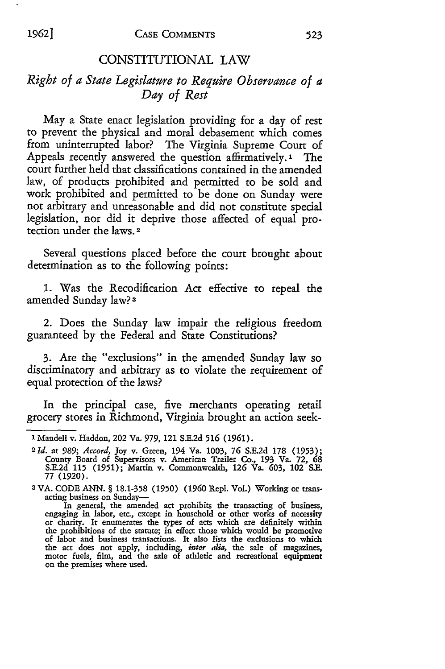### CONSTITUTIONAL LAW

### *Right of a State Legislature to Require Observance of a Day of Rest*

May a State enact legislation providing for a day of rest to prevent the physical and moral debasement which comes from uninterrupted labor? The Virginia Supreme Court of Appeals recently answered the question affirmatively.' The court further held that classifications contained in the amended law, of products prohibited and permitted to be sold and work prohibited and permitted to be done on Sunday were not arbitrary and unreasonable and did not constitute special legislation, nor did it deprive those affected of equal protection under the laws. 2

Several questions placed before the court brought about determination as to the following points:

1. Was the Recodification Act effective to repeal the amended Sunday law? **3**

2. Does the Sunday law impair the religious freedom guaranteed by the Federal and State Constitutions?

**3.** Are the "exclusions" in the amended Sunday law so discriminatory and arbitrary as to violate the requirement of equal protection of the laws?

In the principal case, five merchants operating retail grocery stores in Richmond, Virginia brought an action seek-

**<sup>1</sup>** Mandell v. Haddon, 202 Va. 979, 121 **S.E.2d** *516* **(1961).**

**<sup>2</sup>***Id.* at *989; Accord,* Joy v. Green, 194 Va. **1003,** 76 **S.E.2d 178 (1953);** County Board of Supervisors v. American Trailer Co., 193 Va. **72, 68 S.E.2d 115 (1951);** Martin v. Commonwealth, **126** Va. 603, 102 **S.E.** 77 **(1920).**

**<sup>3</sup>** VA. CODE ANN. § **18.1-358 (1950) (1960** Repl. Vol.) Working or transacting business on Sunday-<br>In general, the amended act prohibits the transacting of business

engaging in labor, etc., except in household or other works of necessity or charity. It enumerates the types of acts which are definitely within or charity. It enumerates the types of acts which are definitely within the prohibitions of the statute; in effect those which would be promotive the act does not apply, including, *inter alia,* the sale of magazines, motor fuels, film, and the sale of athletic and recreational equipment on the premises where used.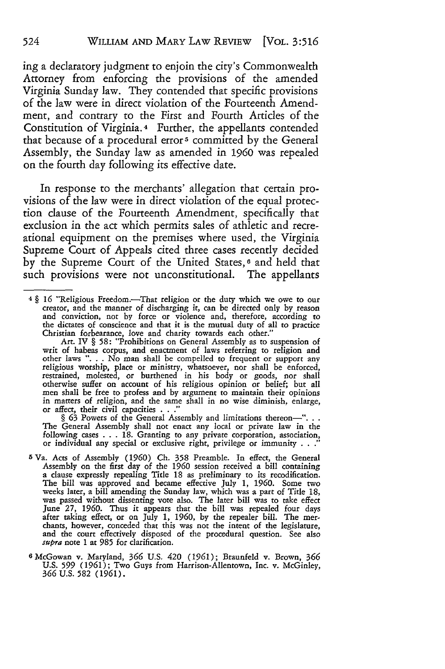ing a declaratory judgment to enjoin the city's Commonwealth Attorney from enforcing the provisions of the amended Virginia Sunday law. They contended that specific provisions of the law were in direct violation of the Fourteenth Amendment, and contrary to the First and Fourth Articles of the Constitution of Virginia.4 Further, the appellants contended that because of a procedural error<sup>5</sup> committed by the General Assembly, the Sunday law as amended in 1960 was repealed on the fourth day following its effective date.

In response to the merchants' allegation that certain provisions of the law were in direct violation of the equal protection clause of the Fourteenth Amendment, specifically that exclusion in the act which permits sales of athletic and recreational equipment on the premises where used, the Virginia Supreme Court of Appeals cited three cases recently decided by the Supreme Court of the United States,<sup>6</sup> and held that such provisions were not unconstitutional. The appellants

The General Assembly shall not enact any local or private law in the following cases ... 18. Granting to any private corporation, association, or individual any special or exclusive right, privilege or immunity . **. ."**

- **5** Va. Acts of Assembly (1960) Ch. **358** Preamble. In effect, the General Assembly on the first day of the 1960 session received a bill containing a clause expressly repealing Title 18 as preliminary to its recodification. The bill was approved and became effective July **1,** 1960. Some two weeks later, a bill amending the Sunday law, which was a part of Title 18, was passed without dissenting vote also. The later bill was to take effect June **27,** 1960. Thus it appears that the bill was repealed four days after taking effect, or on July 1, 1960, by the repealer bill. The mer-<br>chants, however, conceded that this was not the intent of the legislature,<br>and the court effectively disposed of the procedural question. See also *supra* note 1 at **985** for clarification.
- <sup>6</sup> McGowan v. Maryland, **366** U.S. 420 (1961); Braunfeld v. Brown, **366** U.S. **599** (1961); Two Guys from Harrison-Allentown, Inc. v. McGinley, **366** U.S. **582** (1961).

<sup>4</sup>§ 16 "Religious Freedom.-That religion or the duty which we owe to our creator, and the manner of discharging **it,** can be directed only by reason and conviction, not by force or violence and, therefore, according to the dictates of conscience and that it is the mutual duty of all to practice Christian forbearance, love and charity towards each other."

Art. IV § **58:** "Prohibitions on General Assembly as to suspension of writ of habeas corpus, and enactment of laws referring to religion and other laws ". **.** . No man shall be compelled to frequent or support any religious worship, place or ministry, whatsoever, nor shall be enforced restrained, molested, or burthened in his body or goods, nor shall otherwise suffer on account of his religious opinion or belief; but all men shall be free to profess and by argument to maintain their opinions in matters of religion, and the same shall in no wise diminish, enlarge, or affect, their civil capacities **.. ."** § **63** Powers of the General Assembly and limitations thereon-".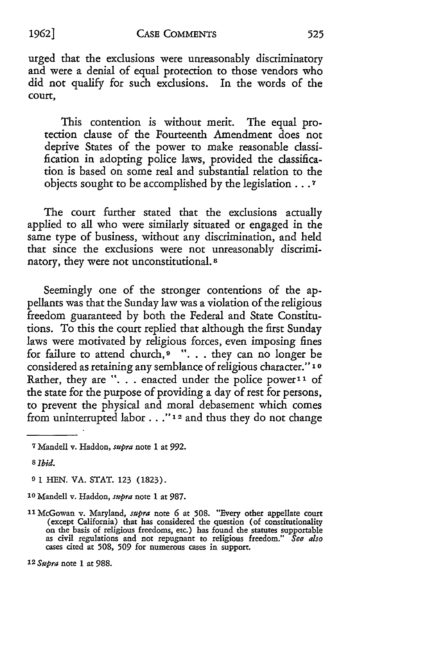#### CASE COMMENTS *1962]*

urged that the exclusions were unreasonably discriminatory and were a denial of equal protection to those vendors who did not qualify for such exclusions. In the words of the court,

This contention is without merit. The equal protection clause of the Fourteenth Amendment does not deprive States of the power to make reasonable classification in adopting police laws, provided the classification is based on some real and substantial relation to the objects sought to be accomplished by the legislation...7

The court further stated that the exclusions actually applied to all who were similarly situated or engaged in the same type of business, without any discrimination, and held that since the exclusions were not unreasonably discriminatory, they were not unconstitutional. **8**

Seemingly one of the stronger contentions of the appellants was that the Sunday law was a violation of the religious freedom guaranteed by both the Federal and State Constitutions. To this the court replied that although the first Sunday laws were motivated by religious forces, even imposing fines for failure to attend church, **9** ". **.** . they can no longer be considered as retaining any semblance of religious character." **1o** Rather, they are ". . . enacted under the police power<sup>11</sup> of the state for the purpose of providing a day of rest for persons, to prevent the physical and moral debasement which comes from uninterrupted labor..."12 and thus they do not change

*12 Supra* note **1** at 988.

**<sup>7</sup>** Mandell v. Haddon, *supra* note **1** at **992.**

*<sup>8</sup>Ibid.*

**<sup>0</sup>** 1 HEN. VA. STAT. 123 (1823).

**<sup>10</sup>** Mandell v. Haddon, *supra* note **I** at 987.

<sup>11</sup> McGowan v. Maryland, *supra* note **6** at **508.** "Every other appellate court (except California) that has considered the question (of constitutionality on the basis of religious freedoms, etc.) has found the statutes supportable as civil regulations and not repugnant to religious freedom." *See also* cases cited at 508, **509** for numerous cases in support.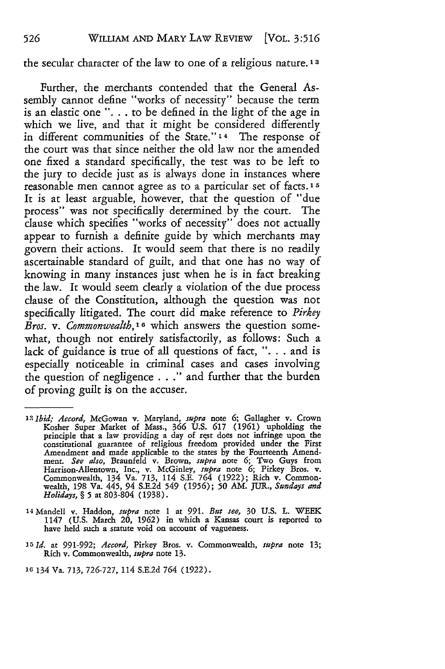#### the secular character of the law to one of a religious nature. **1 3**

Further, the merchants contended that the General Assembly cannot define "works of necessity" because the term is an elastic one ". . to be defined in the light of the age in which we live, and that it might be considered differently in different communities of the State." 14 The response of the court was that since neither the old law nor the amended one fixed a standard specifically, the test was to be left to the jury to decide just as is always done in instances where reasonable men cannot agree as to a particular set of facts.<sup>15</sup> It is at least arguable, however, that the question of "due process" was not specifically determined by the court. The clause which specifies "works of necessity" does not actually appear to furnish a definite guide by which merchants may govern their actions. It would seem that there is no readily ascertainable standard of guilt, and that one has no way of knowing in many instances just when he is in fact breaking the law. It would seem dearly a violation of the due process clause of the Constitution, although the question was not specifically litigated. The court did make reference to *Pirkey Bros. v. Commonwealth,"* which answers the question somewhat, though not entirely satisfactorily, as follows: Such a lack of guidance is true of all questions of fact, ". **.** . and is especially noticeable in criminal cases and cases involving the question of negligence . . ." and further that the burden of proving guilt is on the accuser.

- **14** Mandell v. Haddon, *supra* note 1 at 991. *But see,* **30** U.S. L. WEEK 1147 **(U.S.** March **20, 1962)** in which **a** Kansas court is reported **to** have held such **a** statute void **on** account of vagueness.
- **15** *Id.* **at 991-992;** *Accord,* Pirkey Bros. v. Commonwealth, *supra* note **13;** Rich v. Commonwealth, *supra* note **13.**

**16** 134 Va. 713, 726-727, **114 S.E.2d 764 (1922).**

526

*<sup>12</sup>Ibid; Accord,* McGowan v. **Maryland,** *supra* note **6;** Gallagher v. Crown Kosher Super Market **of Mass., 366** U.S. **617** (1961) upholding the principle that a law providing a day of rest does not infringe upon the constitutional guarantee of religious freedom provided under the First Amendment **and** made applicable **to** the states **by** the Fourteenth Amendment. *See also,* Braunfeld v. Brown, *supra* note **6; Two** Guys from Harrison-Allentown, Inc., v. McGinley, *supra* note **6;** Pirkey Bros. v. Commonwealth, **134 Va. 713, 114 S.E. 764 (1922);** Rich v. Common-wealth, **198 Va. 445, 94 S.E.2d 549 (1956); 50 AM.** JUR., *Sundays and Holidays,* § **5 at 803-804 (1938).**